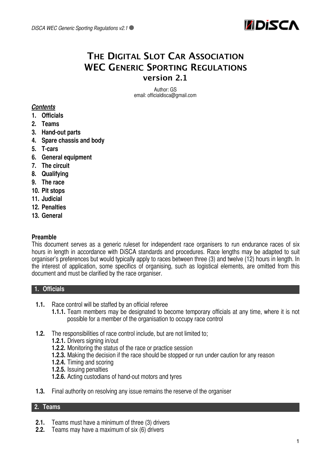

# **THE DIGITAL SLOT CAR ASSOCIATION WEC GENERIC SPORTING REGULATIONS version 2.1**

Author: GS email: officialdisca@gmail.com

## *Contents*

- **1. Officials**
- **2. Teams**
- **3. Hand-out parts**
- **4. Spare chassis and body**
- **5. T-cars**
- **6. General equipment**
- **7. The circuit**
- **8. Qualifying**
- **9. The race**
- **10. Pit stops**
- **11. Judicial**
- **12. Penalties**
- **13. General**

#### **Preamble**

This document serves as a generic ruleset for independent race organisers to run endurance races of six hours in length in accordance with DiSCA standards and procedures. Race lengths may be adapted to suit organiser's preferences but would typically apply to races between three (3) and twelve (12) hours in length. In the interest of application, some specifics of organising, such as logistical elements, are omitted from this document and must be clarified by the race organiser.

#### **1. Officials**

- **1.1.** Race control will be staffed by an official referee
	- **1.1.1.** Team members may be designated to become temporary officials at any time, where it is not possible for a member of the organisation to occupy race control
- **1.2.** The responsibilities of race control include, but are not limited to;
	- **1.2.1.** Drivers signing in/out
	- **1.2.2.** Monitoring the status of the race or practice session
	- **1.2.3.** Making the decision if the race should be stopped or run under caution for any reason
	- **1.2.4.** Timing and scoring
	- **1.2.5.** Issuing penalties
	- **1.2.6.** Acting custodians of hand-out motors and tyres
- **1.3.** Final authority on resolving any issue remains the reserve of the organiser

## **2. Teams**

- **2.1.** Teams must have a minimum of three (3) drivers
- **2.2.** Teams may have a maximum of six (6) drivers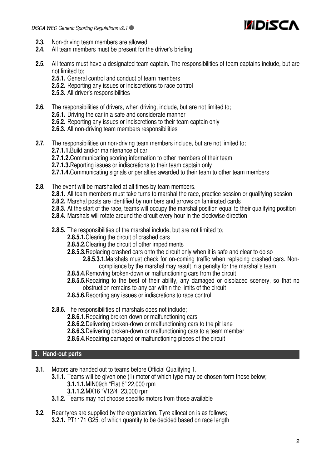

- **2.3.** Non-driving team members are allowed
- **2.4.** All team members must be present for the driver's briefing
- **2.5.** All teams must have a designated team captain. The responsibilities of team captains include, but are not limited to;
	- **2.5.1.** General control and conduct of team members
	- **2.5.2.** Reporting any issues or indiscretions to race control
	- **2.5.3.** All driver's responsibilities
- **2.6.** The responsibilities of drivers, when driving, include, but are not limited to;
	- **2.6.1.** Driving the car in a safe and considerate manner
	- **2.6.2.** Reporting any issues or indiscretions to their team captain only
	- **2.6.3.** All non-driving team members responsibilities
- **2.7.** The responsibilities on non-driving team members include, but are not limited to; **2.7.1.1.**Build and/or maintenance of car **2.7.1.2.**Communicating scoring information to other members of their team **2.7.1.3.**Reporting issues or indiscretions to their team captain only **2.7.1.4.**Communicating signals or penalties awarded to their team to other team members
- **2.8.** The event will be marshalled at all times by team members.
	- **2.8.1.** All team members must take turns to marshal the race, practice session or qualifying session
	- **2.8.2.** Marshal posts are identified by numbers and arrows on laminated cards
	- **2.8.3.** At the start of the race, teams will occupy the marshal position equal to their qualifying position
	- **2.8.4.** Marshals will rotate around the circuit every hour in the clockwise direction
	- **2.8.5.** The responsibilities of the marshal include, but are not limited to;
		- **2.8.5.1.**Clearing the circuit of crashed cars
		- **2.8.5.2.**Clearing the circuit of other impediments
		- **2.8.5.3.**Replacing crashed cars onto the circuit only when it is safe and clear to do so
			- **2.8.5.3.1.**Marshals must check for on-coming traffic when replacing crashed cars. Noncompliance by the marshal may result in a penalty for the marshal's team
		- **2.8.5.4.**Removing broken-down or malfunctioning cars from the circuit
		- **2.8.5.5.**Repairing to the best of their ability, any damaged or displaced scenery, so that no obstruction remains to any car within the limits of the circuit
		- **2.8.5.6.**Reporting any issues or indiscretions to race control
	- **2.8.6.** The responsibilities of marshals does not include;
		- **2.8.6.1.**Repairing broken-down or malfunctioning cars
		- **2.8.6.2.**Delivering broken-down or malfunctioning cars to the pit lane
		- **2.8.6.3.**Delivering broken-down or malfunctioning cars to a team member
		- **2.8.6.4.**Repairing damaged or malfunctioning pieces of the circuit

## **3. Hand-out parts**

- **3.1.** Motors are handed out to teams before Official Qualifying 1.
	- **3.1.1.** Teams will be given one (1) motor of which type may be chosen form those below; **3.1.1.1.**MIN09ch "Flat 6" 22,000 rpm
		- **3.1.1.2.**MX16 "V12/4" 23,000 rpm
	- **3.1.2.** Teams may not choose specific motors from those available
- **3.2.** Rear tyres are supplied by the organization. Tyre allocation is as follows; **3.2.1.** PT1171 G25, of which quantity to be decided based on race length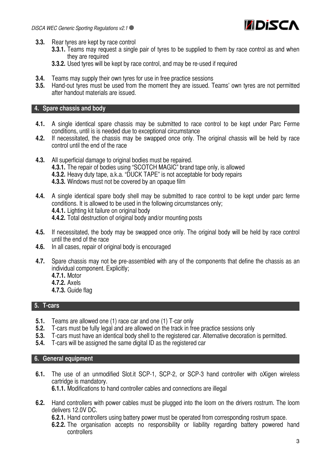

- **3.3.** Rear tyres are kept by race control
	- **3.3.1.** Teams may request a single pair of tyres to be supplied to them by race control as and when they are required
	- **3.3.2.** Used tyres will be kept by race control, and may be re-used if required
- **3.4.** Teams may supply their own tyres for use in free practice sessions **3.5.** Hand-out tyres must be used from the moment they are issued. T
- **3.5.** Hand-out tyres must be used from the moment they are issued. Teams' own tyres are not permitted after handout materials are issued.

#### **4. Spare chassis and body**

- **4.1.** A single identical spare chassis may be submitted to race control to be kept under Parc Ferme conditions, until is is needed due to exceptional circumstance
- **4.2.** If necessitated, the chassis may be swapped once only. The original chassis will be held by race control until the end of the race
- **4.3.** All superficial damage to original bodies must be repaired. **4.3.1.** The repair of bodies using "SCOTCH MAGIC" brand tape only, is allowed **4.3.2.** Heavy duty tape, a.k.a. "DUCK TAPE" is not acceptable for body repairs **4.3.3.** Windows must not be covered by an opaque film
- **4.4.** A single identical spare body shell may be submitted to race control to be kept under parc ferme conditions. It is allowed to be used in the following circumstances only; **4.4.1.** Lighting kit failure on original body **4.4.2.** Total destruction of original body and/or mounting posts
- **4.5.** If necessitated, the body may be swapped once only. The original body will be held by race control until the end of the race
- **4.6.** In all cases, repair of original body is encouraged
- **4.7.** Spare chassis may not be pre-assembled with any of the components that define the chassis as an individual component. Explicitly;
	- **4.7.1.** Motor
	- **4.7.2.** Axels
	- **4.7.3.** Guide flag

## **5. T-cars**

- **5.1.** Teams are allowed one (1) race car and one (1) T-car only
- **5.2.** T-cars must be fully legal and are allowed on the track in free practice sessions only
- **5.3.** T-cars must have an identical body shell to the registered car. Alternative decoration is permitted.
- **5.4.** T-cars will be assigned the same digital ID as the registered car

#### **6. General equipment**

**6.1.** The use of an unmodified Slot.it SCP-1, SCP-2, or SCP-3 hand controller with oXigen wireless cartridge is mandatory.

**6.1.1.** Modifications to hand controller cables and connections are illegal

**6.2.** Hand controllers with power cables must be plugged into the loom on the drivers rostrum. The loom delivers 12.0V DC.

**6.2.1.** Hand controllers using battery power must be operated from corresponding rostrum space.

**6.2.2.** The organisation accepts no responsibility or liability regarding battery powered hand controllers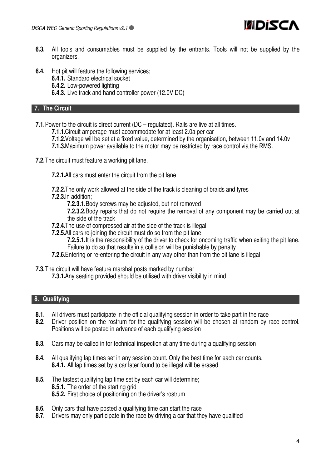

- **6.3.** All tools and consumables must be supplied by the entrants. Tools will not be supplied by the organizers.
- **6.4.** Hot pit will feature the following services;
	- **6.4.1.** Standard electrical socket
	- **6.4.2.** Low-powered lighting
	- **6.4.3.** Live track and hand controller power (12.0V DC)

#### **7. The Circuit**

- **7.1.**Power to the circuit is direct current (DC regulated). Rails are live at all times.
	- **7.1.1.**Circuit amperage must accommodate for at least 2.0a per car
	- **7.1.2.**Voltage will be set at a fixed value, determined by the organisation, between 11.0v and 14.0v
	- **7.1.3.**Maximum power available to the motor may be restricted by race control via the RMS.
- **7.2.**The circuit must feature a working pit lane.
	- **7.2.1.**All cars must enter the circuit from the pit lane
	- **7.2.2.**The only work allowed at the side of the track is cleaning of braids and tyres
	- **7.2.3.**In addition;
		- **7.2.3.1.**Body screws may be adjusted, but not removed
		- **7.2.3.2.**Body repairs that do not require the removal of any component may be carried out at the side of the track
	- **7.2.4.**The use of compressed air at the side of the track is illegal
	- **7.2.5.**All cars re-joining the circuit must do so from the pit lane
		- **7.2.5.1.**It is the responsibility of the driver to check for oncoming traffic when exiting the pit lane. Failure to do so that results in a collision will be punishable by penalty
	- **7.2.6.**Entering or re-entering the circuit in any way other than from the pit lane is illegal
- **7.3.**The circuit will have feature marshal posts marked by number
	- **7.3.1.**Any seating provided should be utilised with driver visibility in mind

## **8. Qualifying**

- **8.1.** All drivers must participate in the official qualifying session in order to take part in the race
- **8.2.** Driver position on the rostrum for the qualifying session will be chosen at random by race control. Positions will be posted in advance of each qualifying session
- **8.3.** Cars may be called in for technical inspection at any time during a qualifying session
- **8.4.** All qualifying lap times set in any session count. Only the best time for each car counts. **8.4.1.** All lap times set by a car later found to be illegal will be erased
- **8.5.** The fastest qualifying lap time set by each car will determine; **8.5.1.** The order of the starting grid **8.5.2.** First choice of positioning on the driver's rostrum
- **8.6.** Only cars that have posted a qualifying time can start the race
- **8.7.** Drivers may only participate in the race by driving a car that they have qualified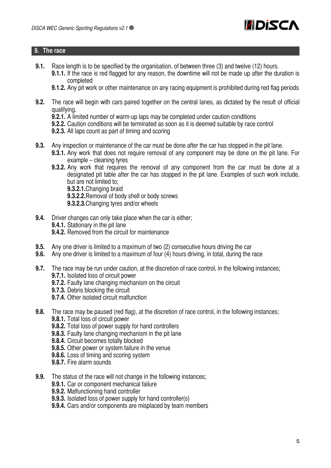

#### **9. The race**

- **9.1.** Race length is to be specified by the organisation, of between three (3) and twelve (12) hours.
	- **9.1.1.** If the race is red flagged for any reason, the downtime will not be made up after the duration is completed
	- **9.1.2.** Any pit work or other maintenance on any racing equipment is prohibited during red flag periods
- **9.2.** The race will begin with cars paired together on the central lanes, as dictated by the result of official qualifying.
	- **9.2.1.** A limited number of warm-up laps may be completed under caution conditions
	- **9.2.2.** Caution conditions will be terminated as soon as it is deemed suitable by race control
	- **9.2.3.** All laps count as part of timing and scoring
- **9.3.** Any inspection or maintenance of the car must be done after the car has stopped in the pit lane.
	- **9.3.1.** Any work that does not require removal of any component may be done on the pit lane. For example – cleaning tyres
	- **9.3.2.** Any work that requires the removal of any component from the car must be done at a designated pit table after the car has stopped in the pit lane. Examples of such work include, but are not limited to;
		- **9.3.2.1.**Changing braid
		- **9.3.2.2.**Removal of body shell or body screws
		- **9.3.2.3.**Changing tyres and/or wheels
- **9.4.** Driver changes can only take place when the car is either; **9.4.1.** Stationary in the pit lane **9.4.2.** Removed from the circuit for maintenance
- **9.5.** Any one driver is limited to a maximum of two (2) consecutive hours driving the car
- **9.6.** Any one driver is limited to a maximum of four (4) hours driving, in total, during the race
- **9.7.** The race may be run under caution, at the discretion of race control, in the following instances; **9.7.1.** Isolated loss of circuit power
	- **9.7.2.** Faulty lane changing mechanism on the circuit
	- **9.7.3.** Debris blocking the circuit
	- **9.7.4.** Other isolated circuit malfunction
- **9.8.** The race may be paused (red flag), at the discretion of race control, in the following instances;
	- **9.8.1.** Total loss of circuit power
	- **9.8.2.** Total loss of power supply for hand controllers
	- **9.8.3.** Faulty lane changing mechanism in the pit lane
	- **9.8.4.** Circuit becomes totally blocked
	- **9.8.5.** Other power or system failure in the venue
	- **9.8.6.** Loss of timing and scoring system
	- **9.8.7.** Fire alarm sounds
- **9.9.** The status of the race will not change in the following instances;
	- **9.9.1.** Car or component mechanical failure
	- **9.9.2.** Malfunctioning hand controller
	- **9.9.3.** Isolated loss of power supply for hand controller(s)
	- **9.9.4.** Cars and/or components are misplaced by team members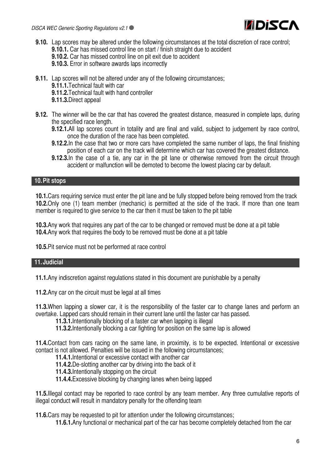

- **9.10.** Lap scores may be altered under the following circumstances at the total discretion of race control; **9.10.1.** Car has missed control line on start / finish straight due to accident **9.10.2.** Car has missed control line on pit exit due to accident
	- **9.10.3.** Error in software awards laps incorrectly
- **9.11.** Lap scores will not be altered under any of the following circumstances;
	- **9.11.1.**Technical fault with car
	- **9.11.2.**Technical fault with hand controller
	- **9.11.3.**Direct appeal
- **9.12.** The winner will be the car that has covered the greatest distance, measured in complete laps, during the specified race length.
	- **9.12.1.**All lap scores count in totality and are final and valid, subject to judgement by race control, once the duration of the race has been completed.
	- **9.12.2.** In the case that two or more cars have completed the same number of laps, the final finishing position of each car on the track will determine which car has covered the greatest distance.
	- **9.12.3.**In the case of a tie, any car in the pit lane or otherwise removed from the circuit through accident or malfunction will be demoted to become the lowest placing car by default.

## **10.Pit stops**

**10.1.**Cars requiring service must enter the pit lane and be fully stopped before being removed from the track **10.2.**Only one (1) team member (mechanic) is permitted at the side of the track. If more than one team member is required to give service to the car then it must be taken to the pit table

**10.3.**Any work that requires any part of the car to be changed or removed must be done at a pit table **10.4.**Any work that requires the body to be removed must be done at a pit table

**10.5.**Pit service must not be performed at race control

## **11.Judicial**

**11.1.**Any indiscretion against regulations stated in this document are punishable by a penalty

**11.2.**Any car on the circuit must be legal at all times

**11.3.**When lapping a slower car, it is the responsibility of the faster car to change lanes and perform an overtake. Lapped cars should remain in their current lane until the faster car has passed.

**11.3.1.**Intentionally blocking of a faster car when lapping is illegal

**11.3.2.**Intentionally blocking a car fighting for position on the same lap is allowed

**11.4.**Contact from cars racing on the same lane, in proximity, is to be expected. Intentional or excessive contact is not allowed. Penalties will be issued in the following circumstances;

- **11.4.1.**Intentional or excessive contact with another car
- **11.4.2.**De-slotting another car by driving into the back of it
- **11.4.3.**Intentionally stopping on the circuit
- **11.4.4.**Excessive blocking by changing lanes when being lapped

**11.5.**Illegal contact may be reported to race control by any team member. Any three cumulative reports of illegal conduct will result in mandatory penalty for the offending team

**11.6.**Cars may be requested to pit for attention under the following circumstances;

**11.6.1.**Any functional or mechanical part of the car has become completely detached from the car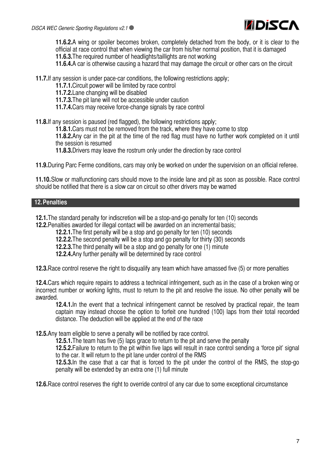

**11.6.2.**A wing or spoiler becomes broken, completely detached from the body, or it is clear to the official at race control that when viewing the car from his/her normal position, that it is damaged **11.6.3.**The required number of headlights/taillights are not working

**11.6.4.**A car is otherwise causing a hazard that may damage the circuit or other cars on the circuit

**11.7.**If any session is under pace-car conditions, the following restrictions apply;

**11.7.1.**Circuit power will be limited by race control

**11.7.2.**Lane changing will be disabled

**11.7.3.**The pit lane will not be accessible under caution

**11.7.4.**Cars may receive force-change signals by race control

**11.8.**If any session is paused (red flagged), the following restrictions apply;

**11.8.1.**Cars must not be removed from the track, where they have come to stop

**11.8.2.**Any car in the pit at the time of the red flag must have no further work completed on it until the session is resumed

**11.8.3.**Drivers may leave the rostrum only under the direction by race control

**11.9.**During Parc Ferme conditions, cars may only be worked on under the supervision on an official referee.

**11.10.**Slow or malfunctioning cars should move to the inside lane and pit as soon as possible. Race control should be notified that there is a slow car on circuit so other drivers may be warned

#### **12.Penalties**

**12.1.**The standard penalty for indiscretion will be a stop-and-go penalty for ten (10) seconds

**12.2.**Penalties awarded for illegal contact will be awarded on an incremental basis;

**12.2.1.**The first penalty will be a stop and go penalty for ten (10) seconds

**12.2.2.**The second penalty will be a stop and go penalty for thirty (30) seconds

**12.2.3.**The third penalty will be a stop and go penalty for one (1) minute

**12.2.4.**Any further penalty will be determined by race control

**12.3.**Race control reserve the right to disqualify any team which have amassed five (5) or more penalties

**12.4.**Cars which require repairs to address a technical infringement, such as in the case of a broken wing or incorrect number or working lights, must to return to the pit and resolve the issue. No other penalty will be awarded.

**12.4.1.** In the event that a technical infringement cannot be resolved by practical repair, the team captain may instead choose the option to forfeit one hundred (100) laps from their total recorded distance. The deduction will be applied at the end of the race

**12.5.**Any team eligible to serve a penalty will be notified by race control.

**12.5.1.**The team has five (5) laps grace to return to the pit and serve the penalty

**12.5.2.**Failure to return to the pit within five laps will result in race control sending a 'force pit' signal to the car. It will return to the pit lane under control of the RMS

**12.5.3.**In the case that a car that is forced to the pit under the control of the RMS, the stop-go penalty will be extended by an extra one (1) full minute

**12.6.**Race control reserves the right to override control of any car due to some exceptional circumstance